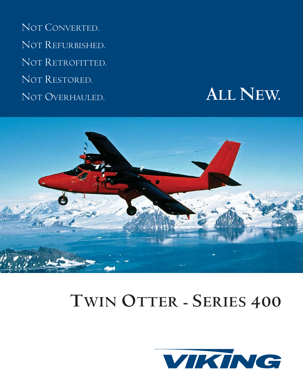NOT CONVERTED. NOT REFURBISHED. NOT RETROFITTED. NOT RESTORED. NOT OVERHAULED.

# **ALL NEW.**



# **TWIN OTTER - SERIES 400**

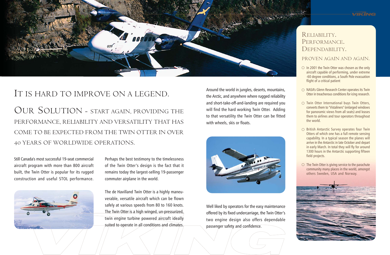Around the world in jungles, deserts, mountains, the Arctic, and anywhere where rugged reliability and short-take-off-and-landing are required you will find the hard working Twin Otter. Adding to that versatility the Twin Otter can be fitted with wheels, skis or floats.





## IT IS HARD TO IMPROVE ON A LEGEND.

OUR SOLUTION - START AGAIN, PROVIDING THE PERFORMANCE, RELIABILITY AND VERSATILITY THAT HAS COME TO BE EXPECTED FROM THE TWIN OTTER IN OVER 40 YEARS OF WORLDWIDE OPERATIONS.

Still Canada's most successful 19-seat commercial aircraft program with more than 800 aircraft built, the Twin Otter is popular for its rugged construction and useful STOL performance.



### PROVEN AGAIN AND AGAIN.

- $\circ$  In 2001 the Twin Otter was chosen as the only aircraft capable of performing, under extreme -60 degree conditions, a South Pole evacuation flight of a critical patient
- $\circ$  NASA's Glenn Research Center operates its Twin Otter in treacherous conditions for icing research.
- $\circlearrowright$  Twin Otter International buys Twin Otters, converts them to "Vistaliners" (enlarged windows for panoramic views from all seats) and leases them to airlines and tour operators throughout the world.
- $\circlearrowright$  British Antarctic Survey operates four Twin Otters of which one has a full remote sensing capability. In a typical season the planes will arrive in the Antarctic in late October and depart in early March. In total they will fly for around 1300 hours in the Antarctic supporting fifteen field projects.
- $\circ$  The Twin Otter is giving service to the parachute community many places in the world, amongst others Sweden, USA and Norway.



Perhaps the best testimony to the timelessness of the Twin Otter's design is the fact that it remains today the largest-selling 19-passenger commuter airplane in the world.

The de Havilland Twin Otter is a highly maneuverable, versatile aircraft which can be flown safely at various speeds from 80 to 160 knots. The Twin Otter is a high winged, un-pressurized, twin engine turbine powered aircraft ideally suited to operate in all conditions and climates.

Well liked by operators for the easy maintenance offered by its fixed undercarriage, the Twin Otter's two engine design also offers dependable passenger safety and confidence.



# RELIABILITY.<br>PERFORMANCE.<br>DEPENDABILITY.